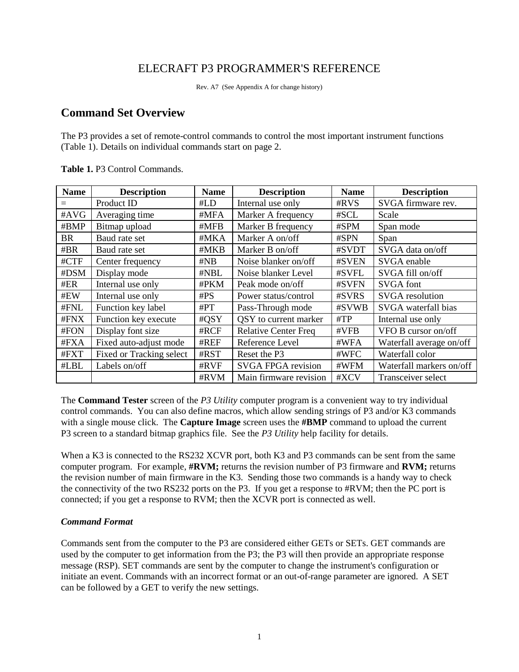# ELECRAFT P3 PROGRAMMER'S REFERENCE

Rev. A7 (See Appendix A for change history)

# **Command Set Overview**

The P3 provides a set of remote-control commands to control the most important instrument functions (Table 1). Details on individual commands start on page 2.

| <b>Name</b> | <b>Description</b>       | <b>Name</b> | <b>Description</b>          | <b>Name</b> | <b>Description</b>       |
|-------------|--------------------------|-------------|-----------------------------|-------------|--------------------------|
|             | Product ID               | #LD         | Internal use only           | #RVS        | SVGA firmware rev.       |
| #AVG        | Averaging time           | #MFA        | Marker A frequency          | #SCL        | Scale                    |
| #BMP        | Bitmap upload            | #MFB        | Marker B frequency          | #SPM        | Span mode                |
| <b>BR</b>   | Baud rate set            | #MKA        | Marker A on/off             | #SPN        | Span                     |
| #BR         | Baud rate set            | #MKB        | Marker B on/off             | #SVDT       | SVGA data on/off         |
| #CTF        | Center frequency         | #NB         | Noise blanker on/off        | #SVEN       | SVGA enable              |
| #DSM        | Display mode             | #NBL        | Noise blanker Level         | #SVFL       | SVGA fill on/off         |
| #ER         | Internal use only        | #PKM        | Peak mode on/off            | #SVFN       | <b>SVGA</b> font         |
| #EW         | Internal use only        | #PS         | Power status/control        | #SVRS       | <b>SVGA</b> resolution   |
| #FNL        | Function key label       | #PT         | Pass-Through mode           | #SVWB       | SVGA waterfall bias      |
| #FNX        | Function key execute     | #QSY        | QSY to current marker       | $\#TP$      | Internal use only        |
| #FON        | Display font size        | #RCF        | <b>Relative Center Freq</b> | #VFB        | VFO B cursor on/off      |
| #FXA        | Fixed auto-adjust mode   | #REF        | Reference Level             | #WFA        | Waterfall average on/off |
| #FXT        | Fixed or Tracking select | #RST        | Reset the P3                | #WFC        | Waterfall color          |
| #LBL        | Labels on/off            | #RVF        | <b>SVGA FPGA revision</b>   | #WFM        | Waterfall markers on/off |
|             |                          | #RVM        | Main firmware revision      | #XCV        | Transceiver select       |

**Table 1.** P3 Control Commands.

The **Command Tester** screen of the *P3 Utility* computer program is a convenient way to try individual control commands. You can also define macros, which allow sending strings of P3 and/or K3 commands with a single mouse click. The **Capture Image** screen uses the **#BMP** command to upload the current P3 screen to a standard bitmap graphics file. See the *P3 Utility* help facility for details.

When a K3 is connected to the RS232 XCVR port, both K3 and P3 commands can be sent from the same computer program. For example, **#RVM;** returns the revision number of P3 firmware and **RVM;** returns the revision number of main firmware in the K3. Sending those two commands is a handy way to check the connectivity of the two RS232 ports on the P3. If you get a response to #RVM; then the PC port is connected; if you get a response to RVM; then the XCVR port is connected as well.

# *Command Format*

Commands sent from the computer to the P3 are considered either GETs or SETs. GET commands are used by the computer to get information from the P3; the P3 will then provide an appropriate response message (RSP). SET commands are sent by the computer to change the instrument's configuration or initiate an event. Commands with an incorrect format or an out-of-range parameter are ignored. A SET can be followed by a GET to verify the new settings.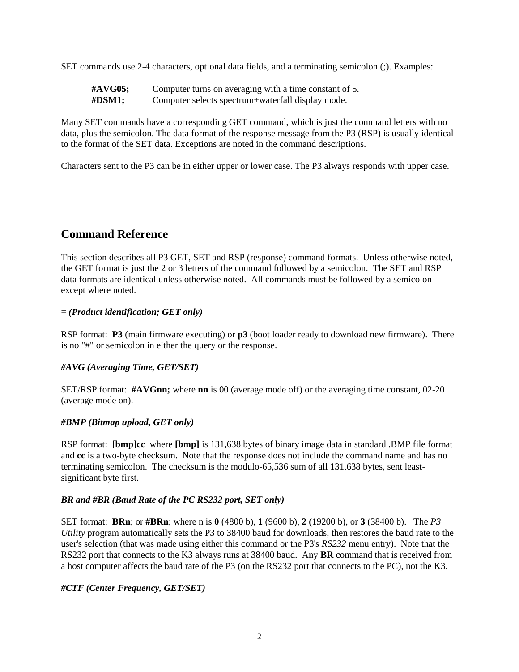SET commands use 2-4 characters, optional data fields, and a terminating semicolon (;). Examples:

| #AVG05;    | Computer turns on averaging with a time constant of 5. |
|------------|--------------------------------------------------------|
| $\#$ DSM1; | Computer selects spectrum+waterfall display mode.      |

Many SET commands have a corresponding GET command, which is just the command letters with no data, plus the semicolon. The data format of the response message from the P3 (RSP) is usually identical to the format of the SET data. Exceptions are noted in the command descriptions.

Characters sent to the P3 can be in either upper or lower case. The P3 always responds with upper case.

# **Command Reference**

This section describes all P3 GET, SET and RSP (response) command formats. Unless otherwise noted, the GET format is just the 2 or 3 letters of the command followed by a semicolon. The SET and RSP data formats are identical unless otherwise noted. All commands must be followed by a semicolon except where noted.

# *= (Product identification; GET only)*

RSP format: **P3** (main firmware executing) or **p3** (boot loader ready to download new firmware). There is no "#" or semicolon in either the query or the response.

#### *#AVG (Averaging Time, GET/SET)*

SET/RSP format: **#AVGnn;** where **nn** is 00 (average mode off) or the averaging time constant, 02-20 (average mode on).

#### *#BMP (Bitmap upload, GET only)*

RSP format: **[bmp]cc** where **[bmp]** is 131,638 bytes of binary image data in standard .BMP file format and **cc** is a two-byte checksum. Note that the response does not include the command name and has no terminating semicolon. The checksum is the modulo-65,536 sum of all 131,638 bytes, sent leastsignificant byte first.

# *BR and #BR (Baud Rate of the PC RS232 port, SET only)*

SET format: **BRn**; or **#BRn**; where n is **0** (4800 b), **1** (9600 b), **2** (19200 b), or **3** (38400 b). The *P3 Utility* program automatically sets the P3 to 38400 baud for downloads, then restores the baud rate to the user's selection (that was made using either this command or the P3's *RS232* menu entry). Note that the RS232 port that connects to the K3 always runs at 38400 baud. Any **BR** command that is received from a host computer affects the baud rate of the P3 (on the RS232 port that connects to the PC), not the K3.

#### *#CTF (Center Frequency, GET/SET)*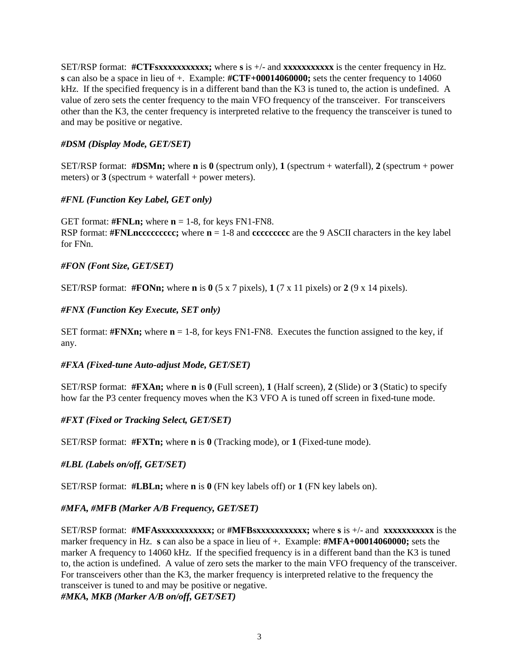SET/RSP format: **#CTFsxxxxxxxxxxx;** where **s** is +/- and **xxxxxxxxxxx** is the center frequency in Hz. **s** can also be a space in lieu of +. Example: **#CTF+00014060000;** sets the center frequency to 14060 kHz. If the specified frequency is in a different band than the K3 is tuned to, the action is undefined. A value of zero sets the center frequency to the main VFO frequency of the transceiver. For transceivers other than the K3, the center frequency is interpreted relative to the frequency the transceiver is tuned to and may be positive or negative.

# *#DSM (Display Mode, GET/SET)*

**SET/RSP** format: **#DSMn;** where **n** is  $\mathbf{0}$  (spectrum only), **1** (spectrum + waterfall), **2** (spectrum + power meters) or  $3$  (spectrum + waterfall + power meters).

# *#FNL (Function Key Label, GET only)*

GET format:  $\text{#FNLn}$ ; where  $n = 1-8$ , for keys FN1-FN8. RSP format: **#FNLnccccccccc;** where **n** = 1-8 and **ccccccccc** are the 9 ASCII characters in the key label for FNn.

# *#FON (Font Size, GET/SET)*

SET/RSP format: **#FONn;** where **n** is **0** (5 x 7 pixels), **1** (7 x 11 pixels) or **2** (9 x 14 pixels).

# *#FNX (Function Key Execute, SET only)*

SET format:  $\#\text{FNXn}$ ; where  $n = 1-8$ , for keys FN1-FN8. Executes the function assigned to the key, if any.

#### *#FXA (Fixed-tune Auto-adjust Mode, GET/SET)*

SET/RSP format: **#FXAn;** where **n** is **0** (Full screen), **1** (Half screen), **2** (Slide) or **3** (Static) to specify how far the P3 center frequency moves when the K3 VFO A is tuned off screen in fixed-tune mode.

#### *#FXT (Fixed or Tracking Select, GET/SET)*

SET/RSP format: **#FXTn;** where **n** is **0** (Tracking mode), or **1** (Fixed-tune mode).

#### *#LBL (Labels on/off, GET/SET)*

SET/RSP format: **#LBLn;** where **n** is **0** (FN key labels off) or **1** (FN key labels on).

# *#MFA, #MFB (Marker A/B Frequency, GET/SET)*

SET/RSP format: **#MFAsxxxxxxxxxxx;** or **#MFBsxxxxxxxxxxx;** where **s** is +/- and **xxxxxxxxxxx** is the marker frequency in Hz. **s** can also be a space in lieu of +. Example: **#MFA+00014060000;** sets the marker A frequency to 14060 kHz. If the specified frequency is in a different band than the K3 is tuned to, the action is undefined. A value of zero sets the marker to the main VFO frequency of the transceiver. For transceivers other than the K3, the marker frequency is interpreted relative to the frequency the transceiver is tuned to and may be positive or negative.

*#MKA, MKB (Marker A/B on/off, GET/SET)*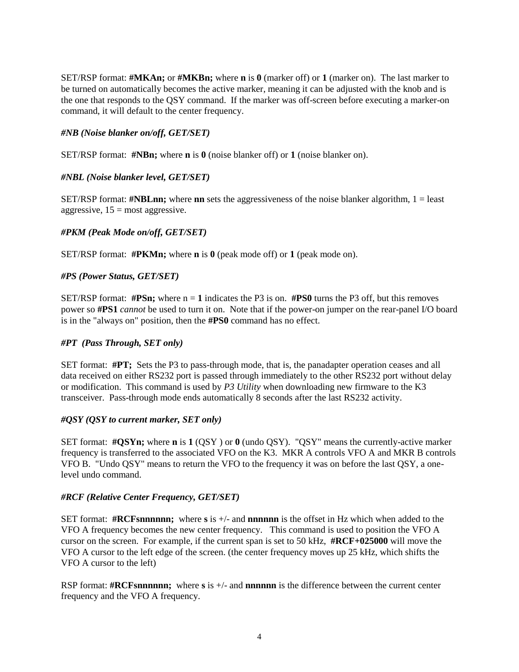SET/RSP format: **#MKAn;** or **#MKBn;** where **n** is **0** (marker off) or **1** (marker on). The last marker to be turned on automatically becomes the active marker, meaning it can be adjusted with the knob and is the one that responds to the QSY command. If the marker was off-screen before executing a marker-on command, it will default to the center frequency.

# *#NB (Noise blanker on/off, GET/SET)*

SET/RSP format: **#NBn;** where **n** is **0** (noise blanker off) or **1** (noise blanker on).

# *#NBL (Noise blanker level, GET/SET)*

SET/RSP format: **#NBLnn;** where **nn** sets the aggressiveness of the noise blanker algorithm, 1 = least aggressive,  $15 = \text{most aggressive}$ .

# *#PKM (Peak Mode on/off, GET/SET)*

SET/RSP format: **#PKMn;** where **n** is **0** (peak mode off) or **1** (peak mode on).

#### *#PS (Power Status, GET/SET)*

SET/RSP format:  $\#PSn$ ; where  $n = 1$  indicates the P3 is on.  $\#PS0$  turns the P3 off, but this removes power so **#PS1** *cannot* be used to turn it on. Note that if the power-on jumper on the rear-panel I/O board is in the "always on" position, then the **#PS0** command has no effect.

#### *#PT (Pass Through, SET only)*

SET format: **#PT;** Sets the P3 to pass-through mode, that is, the panadapter operation ceases and all data received on either RS232 port is passed through immediately to the other RS232 port without delay or modification. This command is used by *P3 Utility* when downloading new firmware to the K3 transceiver. Pass-through mode ends automatically 8 seconds after the last RS232 activity.

#### *#QSY (QSY to current marker, SET only)*

SET format: **#QSYn;** where **n** is **1** (QSY ) or **0** (undo QSY). "QSY" means the currently-active marker frequency is transferred to the associated VFO on the K3. MKR A controls VFO A and MKR B controls VFO B. "Undo QSY" means to return the VFO to the frequency it was on before the last QSY, a onelevel undo command.

#### *#RCF (Relative Center Frequency, GET/SET)*

SET format: **#RCFsnnnnnn;** where **s** is +/- and **nnnnnn** is the offset in Hz which when added to the VFO A frequency becomes the new center frequency. This command is used to position the VFO A cursor on the screen. For example, if the current span is set to 50 kHz, **#RCF+025000** will move the VFO A cursor to the left edge of the screen. (the center frequency moves up 25 kHz, which shifts the VFO A cursor to the left)

RSP format: **#RCFsnnnnnn;** where **s** is  $+/-$  and **nnnnn** is the difference between the current center frequency and the VFO A frequency.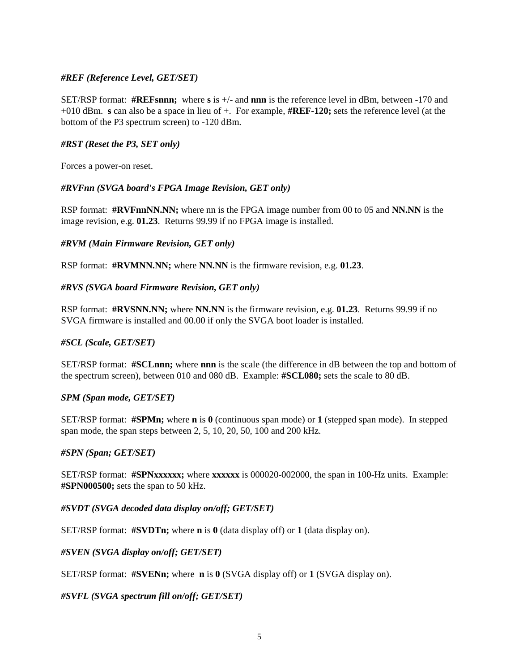# *#REF (Reference Level, GET/SET)*

SET/RSP format: **#REFsnnn;** where **s** is +/- and **nnn** is the reference level in dBm, between -170 and +010 dBm. **s** can also be a space in lieu of +. For example, **#REF-120;** sets the reference level (at the bottom of the P3 spectrum screen) to -120 dBm.

#### *#RST (Reset the P3, SET only)*

Forces a power-on reset.

#### *#RVFnn (SVGA board's FPGA Image Revision, GET only)*

RSP format: **#RVFnnNN.NN;** where nn is the FPGA image number from 00 to 05 and **NN.NN** is the image revision, e.g. **01.23**. Returns 99.99 if no FPGA image is installed.

#### *#RVM (Main Firmware Revision, GET only)*

RSP format: **#RVMNN.NN;** where **NN.NN** is the firmware revision, e.g. **01.23**.

#### *#RVS (SVGA board Firmware Revision, GET only)*

RSP format: **#RVSNN.NN;** where **NN.NN** is the firmware revision, e.g. **01.23**. Returns 99.99 if no SVGA firmware is installed and 00.00 if only the SVGA boot loader is installed.

#### *#SCL (Scale, GET/SET)*

SET/RSP format: **#SCLnnn;** where **nnn** is the scale (the difference in dB between the top and bottom of the spectrum screen), between 010 and 080 dB. Example: **#SCL080;** sets the scale to 80 dB.

#### *SPM (Span mode, GET/SET)*

SET/RSP format: **#SPMn;** where **n** is **0** (continuous span mode) or **1** (stepped span mode). In stepped span mode, the span steps between 2, 5, 10, 20, 50, 100 and 200 kHz.

#### *#SPN (Span; GET/SET)*

SET/RSP format: **#SPNxxxxxx;** where **xxxxxx** is 000020-002000, the span in 100-Hz units. Example: **#SPN000500;** sets the span to 50 kHz.

*#SVDT (SVGA decoded data display on/off; GET/SET)*

SET/RSP format: **#SVDTn;** where **n** is **0** (data display off) or **1** (data display on).

*#SVEN (SVGA display on/off; GET/SET)*

SET/RSP format: **#SVENn;** where **n** is **0** (SVGA display off) or **1** (SVGA display on).

*#SVFL (SVGA spectrum fill on/off; GET/SET)*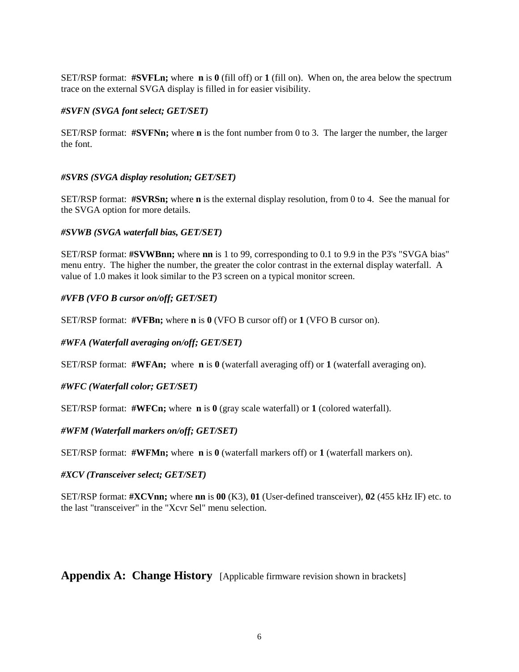SET/RSP format: **#SVFLn;** where **n** is **0** (fill off) or **1** (fill on). When on, the area below the spectrum trace on the external SVGA display is filled in for easier visibility.

#### *#SVFN (SVGA font select; GET/SET)*

SET/RSP format: **#SVFNn;** where **n** is the font number from 0 to 3. The larger the number, the larger the font.

# *#SVRS (SVGA display resolution; GET/SET)*

SET/RSP format: **#SVRSn;** where **n** is the external display resolution, from 0 to 4. See the manual for the SVGA option for more details.

#### *#SVWB (SVGA waterfall bias, GET/SET)*

SET/RSP format: **#SVWBnn;** where **nn** is 1 to 99, corresponding to 0.1 to 9.9 in the P3's "SVGA bias" menu entry. The higher the number, the greater the color contrast in the external display waterfall. A value of 1.0 makes it look similar to the P3 screen on a typical monitor screen.

# *#VFB (VFO B cursor on/off; GET/SET)*

SET/RSP format: **#VFBn;** where **n** is **0** (VFO B cursor off) or **1** (VFO B cursor on).

*#WFA (Waterfall averaging on/off; GET/SET)*

SET/RSP format: **#WFAn;** where **n** is **0** (waterfall averaging off) or **1** (waterfall averaging on).

*#WFC (Waterfall color; GET/SET)*

SET/RSP format: **#WFCn;** where **n** is **0** (gray scale waterfall) or **1** (colored waterfall).

# *#WFM (Waterfall markers on/off; GET/SET)*

SET/RSP format: **#WFMn;** where **n** is **0** (waterfall markers off) or **1** (waterfall markers on).

#### *#XCV (Transceiver select; GET/SET)*

SET/RSP format: **#XCVnn;** where **nn** is **00** (K3), **01** (User-defined transceiver), **02** (455 kHz IF) etc. to the last "transceiver" in the "Xcvr Sel" menu selection.

**Appendix A: Change History** [Applicable firmware revision shown in brackets]